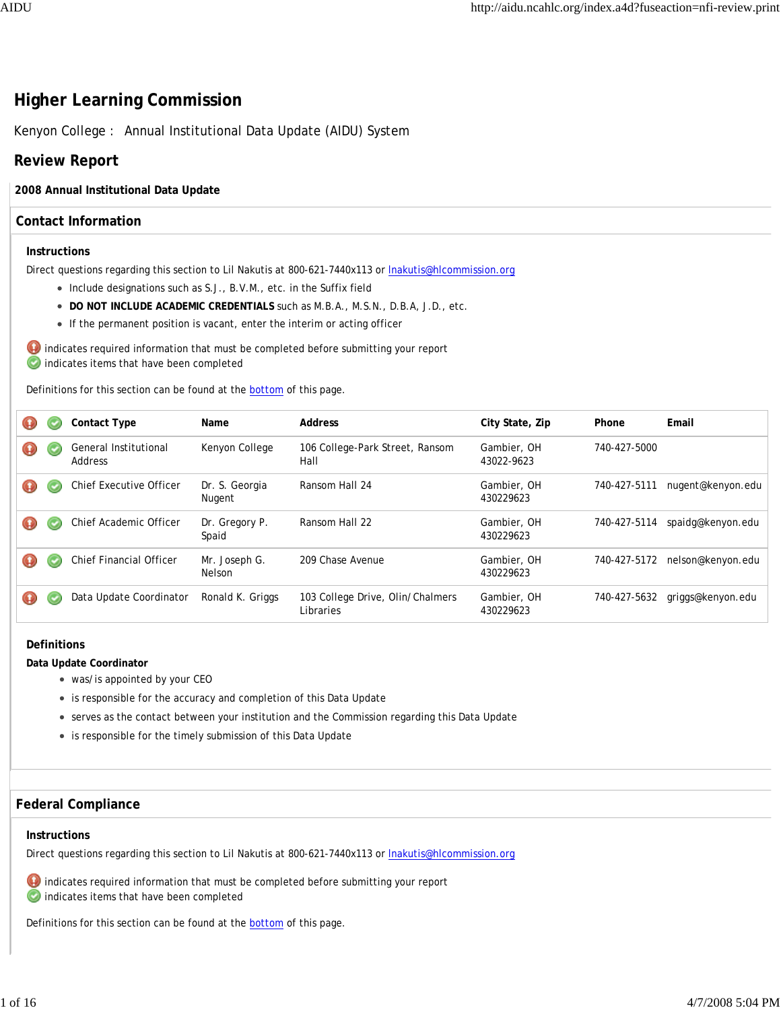# **Higher Learning Commission**

Kenyon College : Annual Institutional Data Update (AIDU) System

# **Review Report**

## **2008 Annual Institutional Data Update**

# **Contact Information**

#### **Instructions**

Direct questions regarding this section to Lil Nakutis at 800-621-7440x113 or lnakutis@hlcommission.org

- Include designations such as S.J., B.V.M., etc. in the Suffix field
- **DO NOT INCLUDE ACADEMIC CREDENTIALS** such as M.B.A., M.S.N., D.B.A, J.D., etc.
- If the permanent position is vacant, enter the interim or acting officer

 $\bigoplus$  indicates required information that must be completed before submitting your report indicates items that have been completed

Definitions for this section can be found at the **bottom** of this page.

| Φ                |   | <b>Contact Type</b>              | Name                     | Address                                       | City State, Zip           | Phone        | Email             |
|------------------|---|----------------------------------|--------------------------|-----------------------------------------------|---------------------------|--------------|-------------------|
| $\mathbf \Theta$ | c | General Institutional<br>Address | Kenyon College           | 106 College-Park Street, Ransom<br>Hall       | Gambier, OH<br>43022-9623 | 740-427-5000 |                   |
|                  |   | <b>Chief Executive Officer</b>   | Dr. S. Georgia<br>Nugent | Ransom Hall 24                                | Gambier, OH<br>430229623  | 740-427-5111 | nugent@kenyon.edu |
|                  |   | Chief Academic Officer           | Dr. Gregory P.<br>Spaid  | Ransom Hall 22                                | Gambier, OH<br>430229623  | 740-427-5114 | spaidg@kenyon.edu |
| ω                |   | Chief Financial Officer          | Mr. Joseph G.<br>Nelson  | 209 Chase Avenue                              | Gambier, OH<br>430229623  | 740-427-5172 | nelson@kenyon.edu |
| ω                |   | Data Update Coordinator          | Ronald K. Griggs         | 103 College Drive, Olin/Chalmers<br>Libraries | Gambier, OH<br>430229623  | 740-427-5632 | griggs@kenyon.edu |

#### **Definitions**

**Data Update Coordinator**

- was/is appointed by your CEO
- is responsible for the accuracy and completion of this Data Update
- serves as the contact between your institution and the Commission regarding this Data Update
- is responsible for the timely submission of this Data Update

# **Federal Compliance**

#### **Instructions**

Direct questions regarding this section to Lil Nakutis at 800-621-7440x113 or lnakutis@hlcommission.org



 $\bullet$  indicates required information that must be completed before submitting your report

indicates items that have been completed

Definitions for this section can be found at the **bottom** of this page.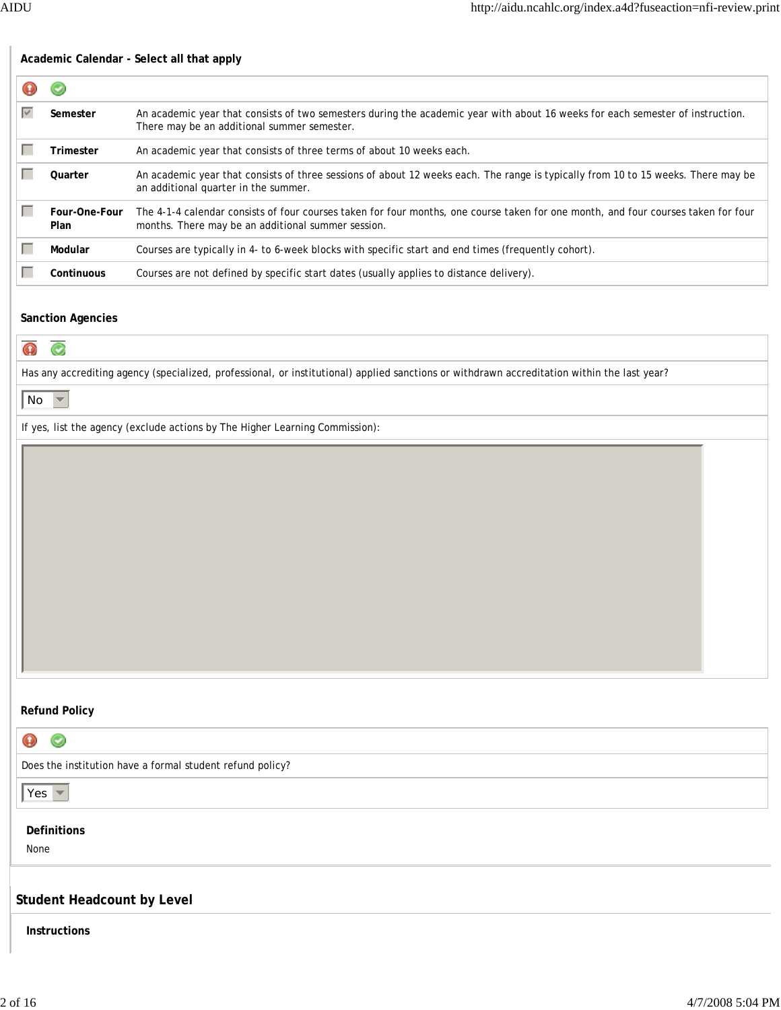# **Academic Calendar - Select all that apply**  $\mathbf \Omega$  $_{\odot}$ **Fig. 2** Semester An academic year that consists of two semesters during the academic year with about 16 weeks for each semester of instruction. There may be an additional summer semester. **Fig. 7** Trimester An academic year that consists of three terms of about 10 weeks each. **Quarter** An academic year that consists of three sessions of about 12 weeks each. The range is typically from 10 to 15 weeks. There may be an additional quarter in the summer. gfedc **Four-One-Four**  The 4-1-4 calendar consists of four courses taken for four months, one course taken for one month, and four courses taken for four **Plan** months. There may be an additional summer session. **Modular** Courses are typically in 4- to 6-week blocks with specific start and end times (frequently cohort). **Genuious** Courses are not defined by specific start dates (usually applies to distance delivery). **Sanction Agencies**  $\mathbf \Omega$  $\odot$ Has any accrediting agency (specialized, professional, or institutional) applied sanctions or withdrawn accreditation within the last year?  $|$  No  $\blacktriangledown$ If yes, list the agency (exclude actions by The Higher Learning Commission): **Refund Policy** ω  $\odot$ Does the institution have a formal student refund policy?  $Yes \n\blacktriangleright$ **Definitions** None **Student Headcount by Level Instructions**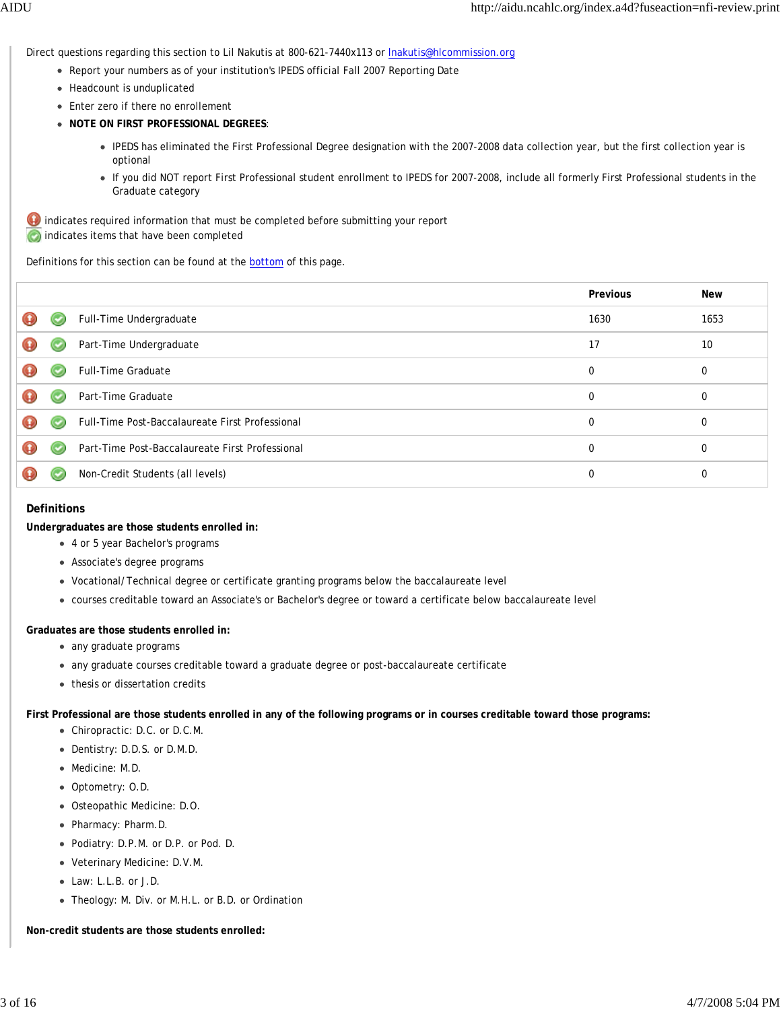Direct questions regarding this section to Lil Nakutis at 800-621-7440x113 or *Inakutis@hlcommission.org* 

- Report your numbers as of your institution's IPEDS official Fall 2007 Reporting Date
- Headcount is unduplicated
- Enter zero if there no enrollement
- **NOTE ON FIRST PROFESSIONAL DEGREES**:
	- IPEDS has eliminated the First Professional Degree designation with the 2007-2008 data collection year, but the first collection year is optional
	- If you did NOT report First Professional student enrollment to IPEDS for 2007-2008, include all formerly First Professional students in the Graduate category

 $\bullet$  indicates required information that must be completed before submitting your report **C** indicates items that have been completed

Definitions for this section can be found at the bottom of this page.

|  |                                                 | Previous | <b>New</b> |
|--|-------------------------------------------------|----------|------------|
|  | Full-Time Undergraduate                         | 1630     | 1653       |
|  | Part-Time Undergraduate                         | 17       | 10         |
|  | <b>Full-Time Graduate</b>                       | $\Omega$ | 0          |
|  | Part-Time Graduate                              | $\Omega$ | 0          |
|  | Full-Time Post-Baccalaureate First Professional | $\Omega$ | 0          |
|  | Part-Time Post-Baccalaureate First Professional | $\Omega$ | 0          |
|  | Non-Credit Students (all levels)                | 0        |            |

#### **Definitions**

**Undergraduates are those students enrolled in:**

- 4 or 5 year Bachelor's programs
- Associate's degree programs
- Vocational/Technical degree or certificate granting programs below the baccalaureate level
- courses creditable toward an Associate's or Bachelor's degree or toward a certificate below baccalaureate level

#### **Graduates are those students enrolled in:**

- any graduate programs
- any graduate courses creditable toward a graduate degree or post-baccalaureate certificate
- thesis or dissertation credits

**First Professional are those students enrolled in any of the following programs or in courses creditable toward those programs:**

- Chiropractic: D.C. or D.C.M.
- Dentistry: D.D.S. or D.M.D.
- Medicine: M.D.
- Optometry: O.D.
- Osteopathic Medicine: D.O.
- Pharmacy: Pharm.D.
- Podiatry: D.P.M. or D.P. or Pod. D.
- Veterinary Medicine: D.V.M.
- Law: L.L.B. or J.D.
- Theology: M. Div. or M.H.L. or B.D. or Ordination

**Non-credit students are those students enrolled:**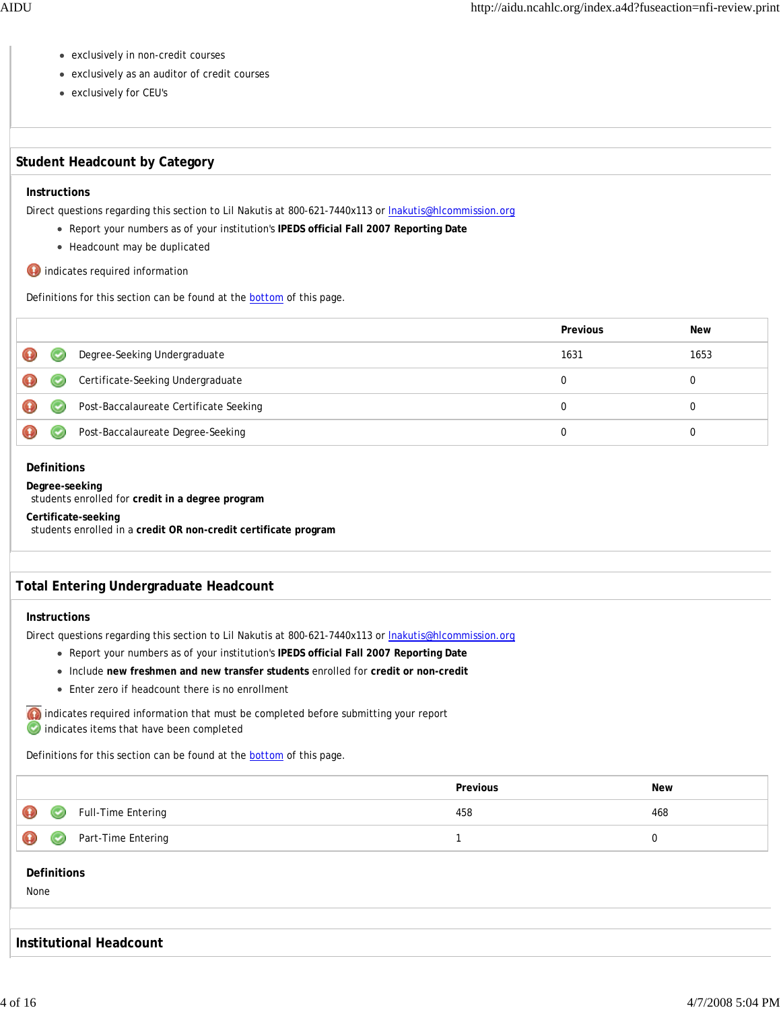- exclusively in non-credit courses
- exclusively as an auditor of credit courses
- exclusively for CEU's

# **Student Headcount by Category**

# **Instructions**

Direct questions regarding this section to Lil Nakutis at 800-621-7440x113 or Inakutis@hlcommission.org

- Report your numbers as of your institution's **IPEDS official Fall 2007 Reporting Date**
- Headcount may be duplicated
- **O** indicates required information

Definitions for this section can be found at the **bottom** of this page.

|    |                                        | Previous | <b>New</b> |
|----|----------------------------------------|----------|------------|
| v. | Degree-Seeking Undergraduate           | 1631     | 1653       |
| ∾  | Certificate-Seeking Undergraduate      |          |            |
|    | Post-Baccalaureate Certificate Seeking | 0        |            |
|    | Post-Baccalaureate Degree-Seeking      |          |            |

## **Definitions**

**Degree-seeking** students enrolled for **credit in a degree program**

**Certificate-seeking**

students enrolled in a **credit OR non-credit certificate program**

# **Total Entering Undergraduate Headcount**

# **Instructions**

Direct questions regarding this section to Lil Nakutis at 800-621-7440x113 or lnakutis@hlcommission.org

- Report your numbers as of your institution's **IPEDS official Fall 2007 Reporting Date**
- Include **new freshmen and new transfer students** enrolled for **credit or non-credit**
- Enter zero if headcount there is no enrollment

indicates items that have been completed

Definitions for this section can be found at the **bottom** of this page.

|                               |                             | Previous | New |
|-------------------------------|-----------------------------|----------|-----|
| $\bullet\hspace{0.1cm} \circ$ | Full-Time Entering          | 458      | 468 |
|                               | <b>O</b> Part-Time Entering |          |     |
|                               |                             |          |     |

## **Definitions**

None

# **Institutional Headcount**

indicates required information that must be completed before submitting your report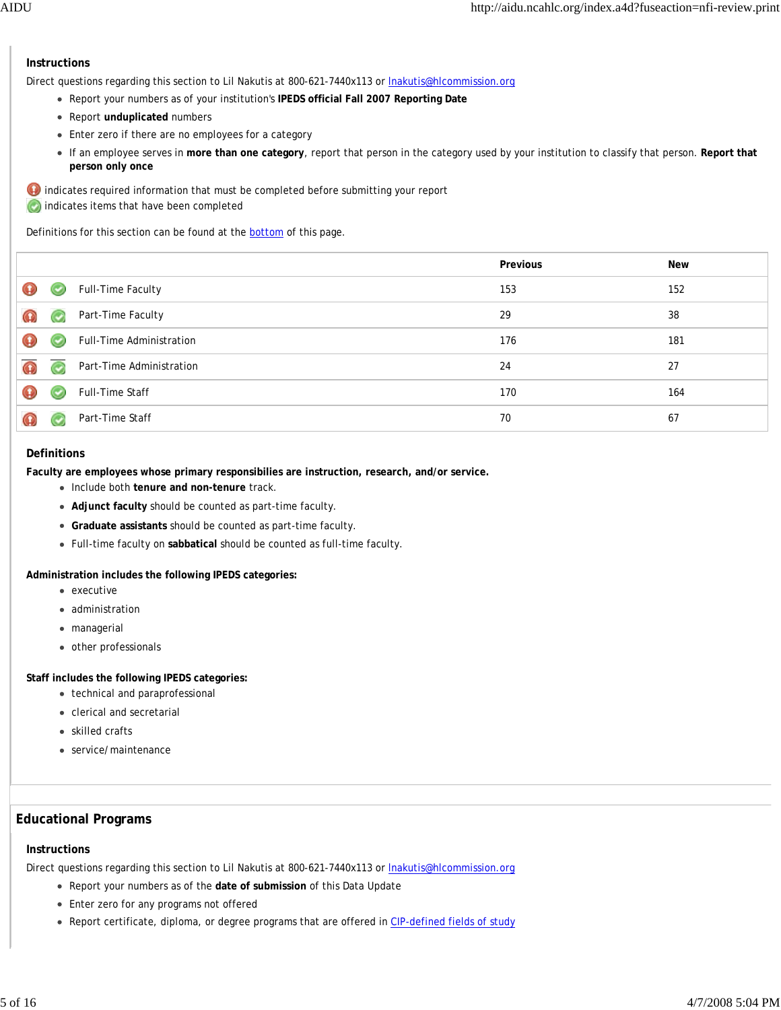# **Instructions**

Direct questions regarding this section to Lil Nakutis at 800-621-7440x113 or *Inakutis@hlcommission.org* 

- Report your numbers as of your institution's **IPEDS official Fall 2007 Reporting Date**
- Report **unduplicated** numbers
- Enter zero if there are no employees for a category
- If an employee serves in **more than one category**, report that person in the category used by your institution to classify that person. **Report that person only once**

 indicates required information that must be completed before submitting your report **indicates items that have been completed** 

Definitions for this section can be found at the bottom of this page.

|                                    |                          | Previous | <b>New</b> |
|------------------------------------|--------------------------|----------|------------|
| ۳                                  | Full-Time Faculty        | 153      | 152        |
| $\left(\blacktriangleright\right)$ | Part-Time Faculty        | 29       | 38         |
| $\left( \bullet \right)$           | Full-Time Administration | 176      | 181        |
| $\left(\bigtriangledown\right)$    | Part-Time Administration | 24       | 27         |
| $\left( \bullet \right)$           | Full-Time Staff          | 170      | 164        |
|                                    | Part-Time Staff          | 70       | 67         |

#### **Definitions**

**Faculty are employees whose primary responsibilies are instruction, research, and/or service.**

- Include both **tenure and non-tenure** track.
- **Adjunct faculty** should be counted as part-time faculty.
- **Graduate assistants** should be counted as part-time faculty.
- Full-time faculty on **sabbatical** should be counted as full-time faculty.

**Administration includes the following IPEDS categories:**

- executive
- administration
- managerial
- other professionals

**Staff includes the following IPEDS categories:**

- technical and paraprofessional
- clerical and secretarial
- skilled crafts
- service/maintenance

## **Educational Programs**

#### **Instructions**

Direct questions regarding this section to Lil Nakutis at 800-621-7440x113 or **Inakutis@hlcommission.org** 

- Report your numbers as of the **date of submission** of this Data Update
- Enter zero for any programs not offered
- Report certificate, diploma, or degree programs that are offered in CIP-defined fields of study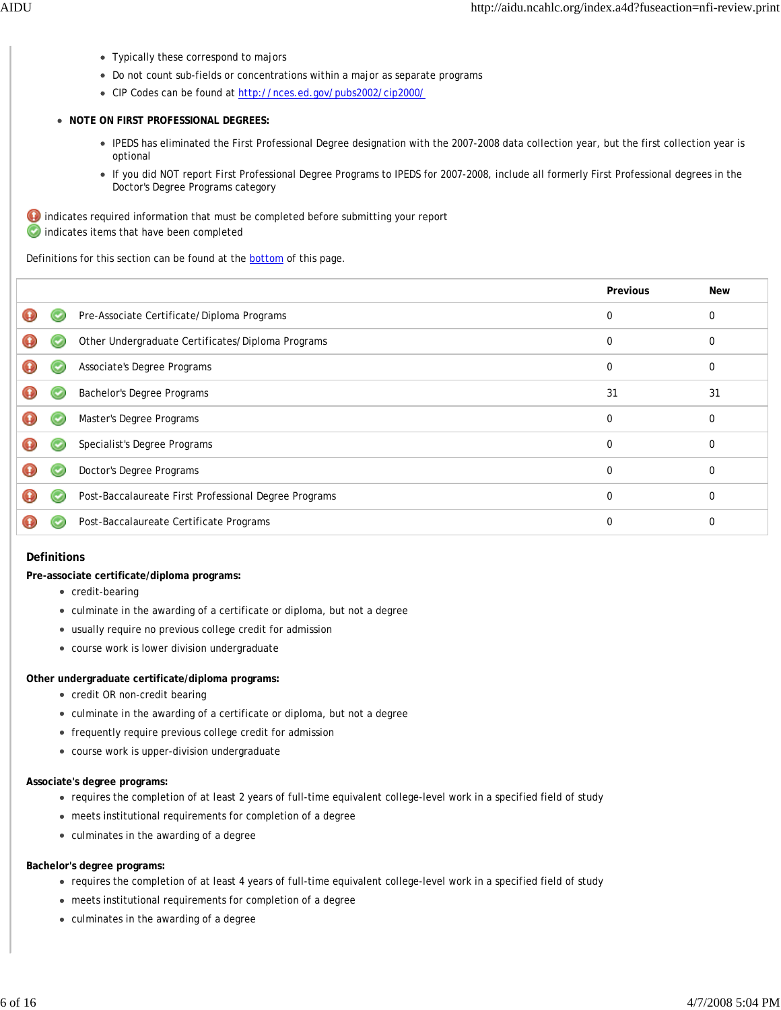- Typically these correspond to majors
- Do not count sub-fields or concentrations within a major as separate programs
- CIP Codes can be found at http://nces.ed.gov/pubs2002/cip2000/
- **NOTE ON FIRST PROFESSIONAL DEGREES:**
	- IPEDS has eliminated the First Professional Degree designation with the 2007-2008 data collection year, but the first collection year is optional
	- If you did NOT report First Professional Degree Programs to IPEDS for 2007-2008, include all formerly First Professional degrees in the Doctor's Degree Programs category

 $\bigoplus$  indicates required information that must be completed before submitting your report indicates items that have been completed

Definitions for this section can be found at the **bottom** of this page.

|  |                                                       | Previous | <b>New</b>  |
|--|-------------------------------------------------------|----------|-------------|
|  | Pre-Associate Certificate/Diploma Programs            | 0        | 0           |
|  | Other Undergraduate Certificates/Diploma Programs     | 0        | $\Omega$    |
|  | Associate's Degree Programs                           | 0        | $\Omega$    |
|  | Bachelor's Degree Programs                            | 31       | 31          |
|  | Master's Degree Programs                              | 0        | $\mathbf 0$ |
|  | Specialist's Degree Programs                          | 0        | 0           |
|  | Doctor's Degree Programs                              | 0        | $\Omega$    |
|  | Post-Baccalaureate First Professional Degree Programs | 0        | $\Omega$    |
|  | Post-Baccalaureate Certificate Programs               | 0        | 0           |
|  |                                                       |          |             |

#### **Definitions**

**Pre-associate certificate/diploma programs:**

- credit-bearing
- culminate in the awarding of a certificate or diploma, but not a degree
- usually require no previous college credit for admission
- course work is lower division undergraduate

# **Other undergraduate certificate/diploma programs:**

- credit OR non-credit bearing
- culminate in the awarding of a certificate or diploma, but not a degree
- frequently require previous college credit for admission
- course work is upper-division undergraduate

# **Associate's degree programs:**

- requires the completion of at least 2 years of full-time equivalent college-level work in a specified field of study
- meets institutional requirements for completion of a degree
- culminates in the awarding of a degree

# **Bachelor's degree programs:**

- requires the completion of at least 4 years of full-time equivalent college-level work in a specified field of study
- meets institutional requirements for completion of a degree
- culminates in the awarding of a degree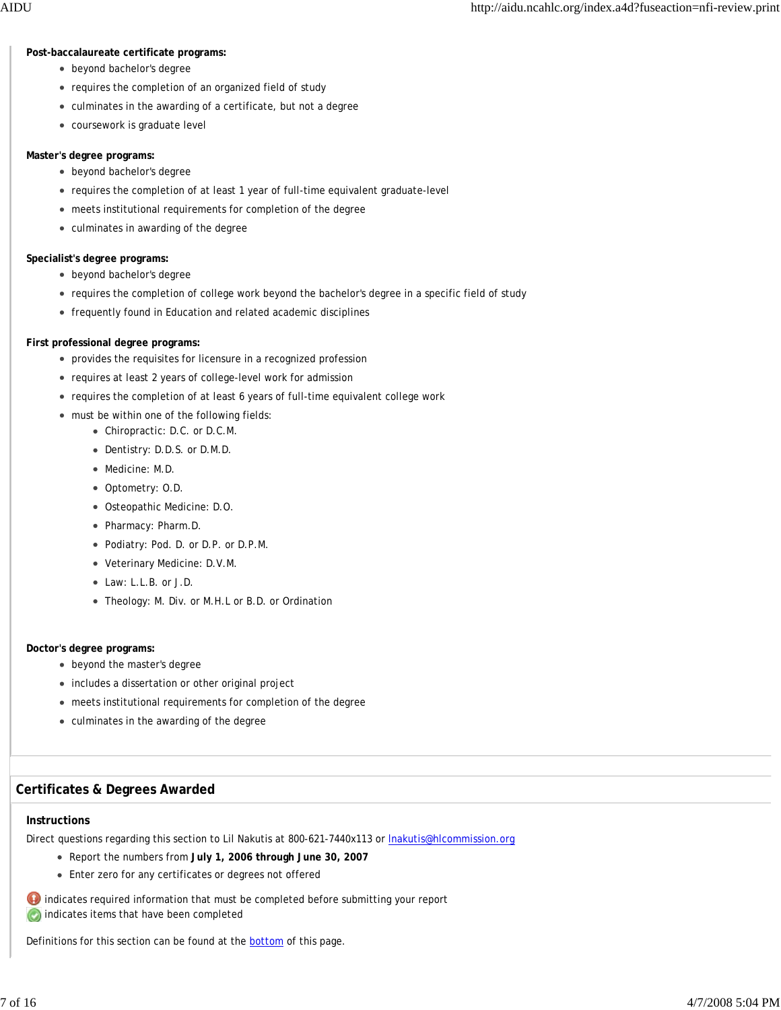#### **Post-baccalaureate certificate programs:**

- beyond bachelor's degree
- requires the completion of an organized field of study
- culminates in the awarding of a certificate, but not a degree
- coursework is graduate level

#### **Master's degree programs:**

- beyond bachelor's degree
- requires the completion of at least 1 year of full-time equivalent graduate-level
- meets institutional requirements for completion of the degree
- culminates in awarding of the degree

#### **Specialist's degree programs:**

- beyond bachelor's degree
- requires the completion of college work beyond the bachelor's degree in a specific field of study
- frequently found in Education and related academic disciplines

#### **First professional degree programs:**

- provides the requisites for licensure in a recognized profession
- requires at least 2 years of college-level work for admission
- requires the completion of at least 6 years of full-time equivalent college work
- must be within one of the following fields:
	- Chiropractic: D.C. or D.C.M.
	- Dentistry: D.D.S. or D.M.D.
	- Medicine: M.D.
	- Optometry: O.D.
	- Osteopathic Medicine: D.O.
	- Pharmacy: Pharm.D.
	- Podiatry: Pod. D. or D.P. or D.P.M.
	- Veterinary Medicine: D.V.M.
	- Law: L.L.B. or J.D.
	- Theology: M. Div. or M.H.L or B.D. or Ordination

#### **Doctor's degree programs:**

- beyond the master's degree
- includes a dissertation or other original project
- meets institutional requirements for completion of the degree
- culminates in the awarding of the degree

## **Certificates & Degrees Awarded**

#### **Instructions**

Direct questions regarding this section to Lil Nakutis at 800-621-7440x113 or lnakutis@hlcommission.org

- Report the numbers from **July 1, 2006 through June 30, 2007**
- Enter zero for any certificates or degrees not offered

 $\bullet$  indicates required information that must be completed before submitting your report

**b** indicates items that have been completed

Definitions for this section can be found at the **bottom** of this page.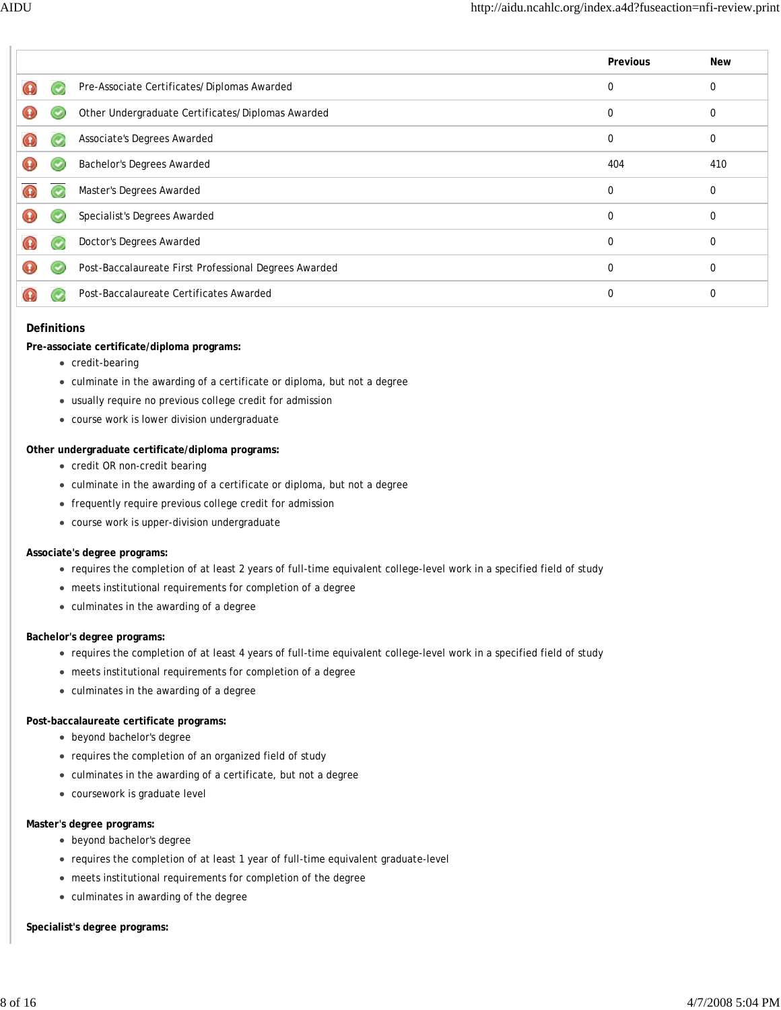|   |                                                       | Previous | New      |
|---|-------------------------------------------------------|----------|----------|
|   | Pre-Associate Certificates/Diplomas Awarded           | 0        | 0        |
| O | Other Undergraduate Certificates/Diplomas Awarded     | 0        | 0        |
|   | Associate's Degrees Awarded                           | $\Omega$ | $\Omega$ |
|   | Bachelor's Degrees Awarded                            | 404      | 410      |
|   | Master's Degrees Awarded                              | $\Omega$ | $\Omega$ |
| Ω | Specialist's Degrees Awarded                          | 0        | $\Omega$ |
|   | Doctor's Degrees Awarded                              | 0        | 0        |
| Ω | Post-Baccalaureate First Professional Degrees Awarded | $\Omega$ | 0        |
|   | Post-Baccalaureate Certificates Awarded               | $\Omega$ | $\Omega$ |

#### **Definitions**

#### **Pre-associate certificate/diploma programs:**

- credit-bearing
- culminate in the awarding of a certificate or diploma, but not a degree
- usually require no previous college credit for admission
- course work is lower division undergraduate

#### **Other undergraduate certificate/diploma programs:**

- credit OR non-credit bearing
- culminate in the awarding of a certificate or diploma, but not a degree
- frequently require previous college credit for admission
- course work is upper-division undergraduate

#### **Associate's degree programs:**

- requires the completion of at least 2 years of full-time equivalent college-level work in a specified field of study
- meets institutional requirements for completion of a degree
- culminates in the awarding of a degree

#### **Bachelor's degree programs:**

- requires the completion of at least 4 years of full-time equivalent college-level work in a specified field of study
- meets institutional requirements for completion of a degree
- culminates in the awarding of a degree

## **Post-baccalaureate certificate programs:**

- beyond bachelor's degree
- requires the completion of an organized field of study
- culminates in the awarding of a certificate, but not a degree
- coursework is graduate level

#### **Master's degree programs:**

- beyond bachelor's degree
- requires the completion of at least 1 year of full-time equivalent graduate-level
- meets institutional requirements for completion of the degree
- culminates in awarding of the degree

#### **Specialist's degree programs:**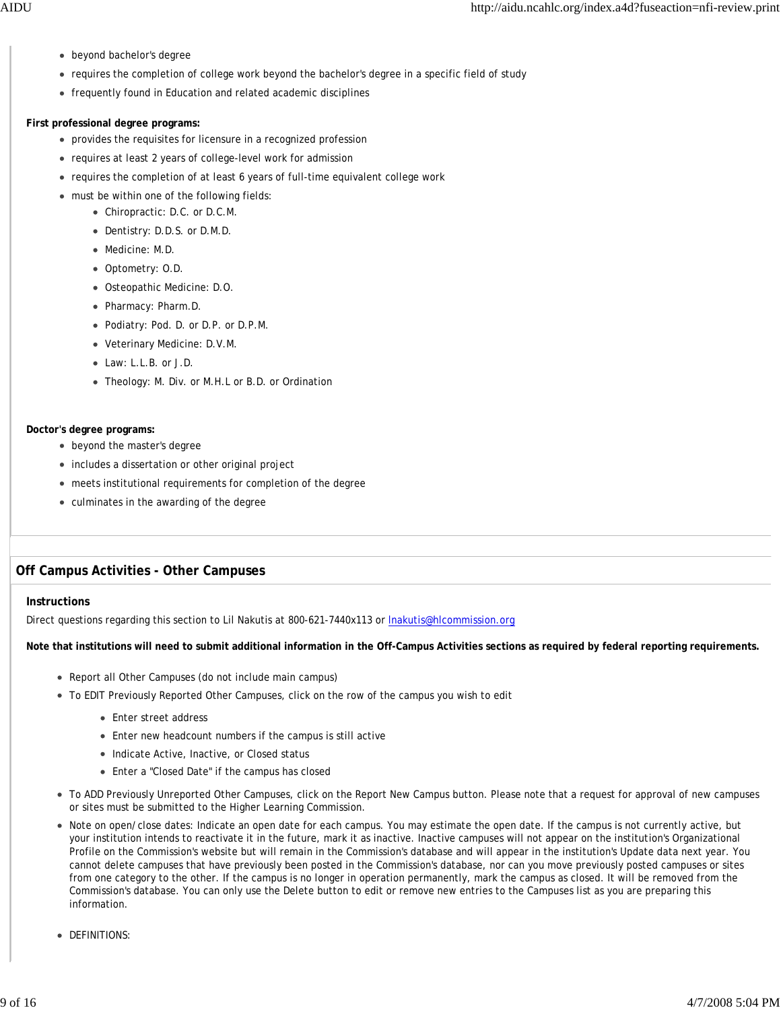- beyond bachelor's degree
- requires the completion of college work beyond the bachelor's degree in a specific field of study
- frequently found in Education and related academic disciplines

#### **First professional degree programs:**

- provides the requisites for licensure in a recognized profession
- requires at least 2 years of college-level work for admission
- requires the completion of at least 6 years of full-time equivalent college work
- must be within one of the following fields:
	- Chiropractic: D.C. or D.C.M.
	- Dentistry: D.D.S. or D.M.D.
	- Medicine: M.D.
	- Optometry: O.D.
	- Osteopathic Medicine: D.O.
	- Pharmacy: Pharm.D.
	- Podiatry: Pod. D. or D.P. or D.P.M.
	- Veterinary Medicine: D.V.M.
	- Law: L.L.B. or J.D.
	- Theology: M. Div. or M.H.L or B.D. or Ordination

#### **Doctor's degree programs:**

- beyond the master's degree
- includes a dissertation or other original project
- meets institutional requirements for completion of the degree
- culminates in the awarding of the degree

# **Off Campus Activities - Other Campuses**

#### **Instructions**

Direct questions regarding this section to Lil Nakutis at 800-621-7440x113 or lnakutis@hlcommission.org

#### **Note that institutions will need to submit additional information in the Off-Campus Activities sections as required by federal reporting requirements.**

- Report all Other Campuses (do not include main campus)
- To EDIT Previously Reported Other Campuses, click on the row of the campus you wish to edit
	- Enter street address
	- Enter new headcount numbers if the campus is still active
	- Indicate Active, Inactive, or Closed status
	- Enter a "Closed Date" if the campus has closed
- To ADD Previously Unreported Other Campuses, click on the Report New Campus button. Please note that a request for approval of new campuses or sites must be submitted to the Higher Learning Commission.
- Note on open/close dates: Indicate an open date for each campus. You may estimate the open date. If the campus is not currently active, but your institution intends to reactivate it in the future, mark it as inactive. Inactive campuses will not appear on the institution's Organizational Profile on the Commission's website but will remain in the Commission's database and will appear in the institution's Update data next year. You cannot delete campuses that have previously been posted in the Commission's database, nor can you move previously posted campuses or sites from one category to the other. If the campus is no longer in operation permanently, mark the campus as closed. It will be removed from the Commission's database. You can only use the Delete button to edit or remove new entries to the Campuses list as you are preparing this information.
- **DEFINITIONS:**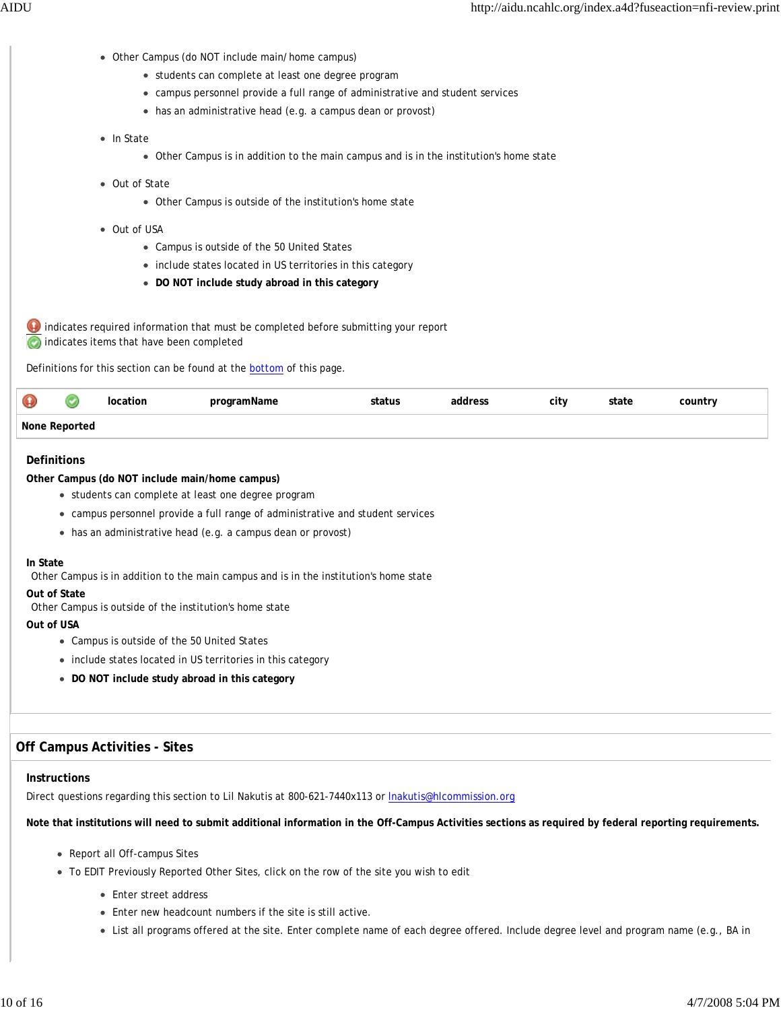- Other Campus (do NOT include main/home campus)
	- students can complete at least one degree program
	- campus personnel provide a full range of administrative and student services
	- has an administrative head (e.g. a campus dean or provost)
- In State
	- Other Campus is in addition to the main campus and is in the institution's home state
- Out of State
	- Other Campus is outside of the institution's home state
- Out of USA
	- Campus is outside of the 50 United States
	- include states located in US territories in this category
	- **DO NOT include study abroad in this category**

 indicates required information that must be completed before submitting your report **C** indicates items that have been completed

Definitions for this section can be found at the **bottom** of this page.

| $\mathbf \Theta$ |  | . | city | tate<br>$\cdots \qquad \qquad \cdots \qquad \qquad \cdots$ | countr |
|------------------|--|---|------|------------------------------------------------------------|--------|
| None             |  |   |      |                                                            |        |

#### **Definitions**

#### **Other Campus (do NOT include main/home campus)**

- students can complete at least one degree program
- campus personnel provide a full range of administrative and student services
- has an administrative head (e.g. a campus dean or provost)

#### **In State**

Other Campus is in addition to the main campus and is in the institution's home state

#### **Out of State**

Other Campus is outside of the institution's home state

#### **Out of USA**

- Campus is outside of the 50 United States
- include states located in US territories in this category
- **DO NOT include study abroad in this category**

## **Off Campus Activities - Sites**

#### **Instructions**

Direct questions regarding this section to Lil Nakutis at 800-621-7440x113 or lnakutis@hlcommission.org

#### **Note that institutions will need to submit additional information in the Off-Campus Activities sections as required by federal reporting requirements.**

- Report all Off-campus Sites
- To EDIT Previously Reported Other Sites, click on the row of the site you wish to edit
	- Enter street address
	- Enter new headcount numbers if the site is still active.
	- List all programs offered at the site. Enter complete name of each degree offered. Include degree level and program name (e.g., BA in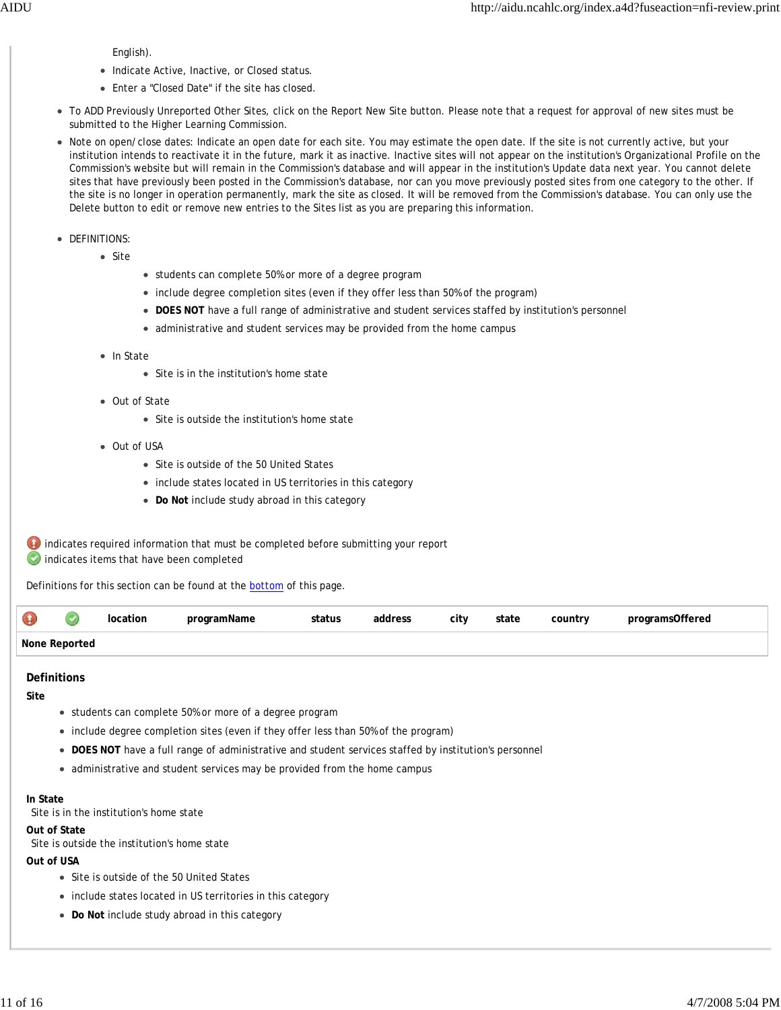English).

- Indicate Active, Inactive, or Closed status.
- Enter a "Closed Date" if the site has closed.
- To ADD Previously Unreported Other Sites, click on the Report New Site button. Please note that a request for approval of new sites must be submitted to the Higher Learning Commission.
- Note on open/close dates: Indicate an open date for each site. You may estimate the open date. If the site is not currently active, but your institution intends to reactivate it in the future, mark it as inactive. Inactive sites will not appear on the institution's Organizational Profile on the Commission's website but will remain in the Commission's database and will appear in the institution's Update data next year. You cannot delete sites that have previously been posted in the Commission's database, nor can you move previously posted sites from one category to the other. If the site is no longer in operation permanently, mark the site as closed. It will be removed from the Commission's database. You can only use the Delete button to edit or remove new entries to the Sites list as you are preparing this information.
- DEFINITIONS:
	- Site
- students can complete 50% or more of a degree program
- include degree completion sites (even if they offer less than 50% of the program)
- **DOES NOT** have a full range of administrative and student services staffed by institution's personnel
- administrative and student services may be provided from the home campus
- In State
	- Site is in the institution's home state
- Out of State
	- Site is outside the institution's home state
- Out of USA
	- Site is outside of the 50 United States
	- include states located in US territories in this category
	- **Do Not** include study abroad in this category

**indicates required information that must be completed before submitting your report** indicates items that have been completed

Definitions for this section can be found at the bottom of this page.

| $\mathbf \Theta$ | ition | tatus<br>. | dress | city | state | country | )ttered |
|------------------|-------|------------|-------|------|-------|---------|---------|
| None Report      |       |            |       |      |       |         |         |

#### **Definitions**

**Site**

- students can complete 50% or more of a degree program
- include degree completion sites (even if they offer less than 50% of the program)
- **DOES NOT** have a full range of administrative and student services staffed by institution's personnel
- administrative and student services may be provided from the home campus

#### **In State**

Site is in the institution's home state

#### **Out of State**

Site is outside the institution's home state

#### **Out of USA**

- Site is outside of the 50 United States
- include states located in US territories in this category
- **Do Not** include study abroad in this category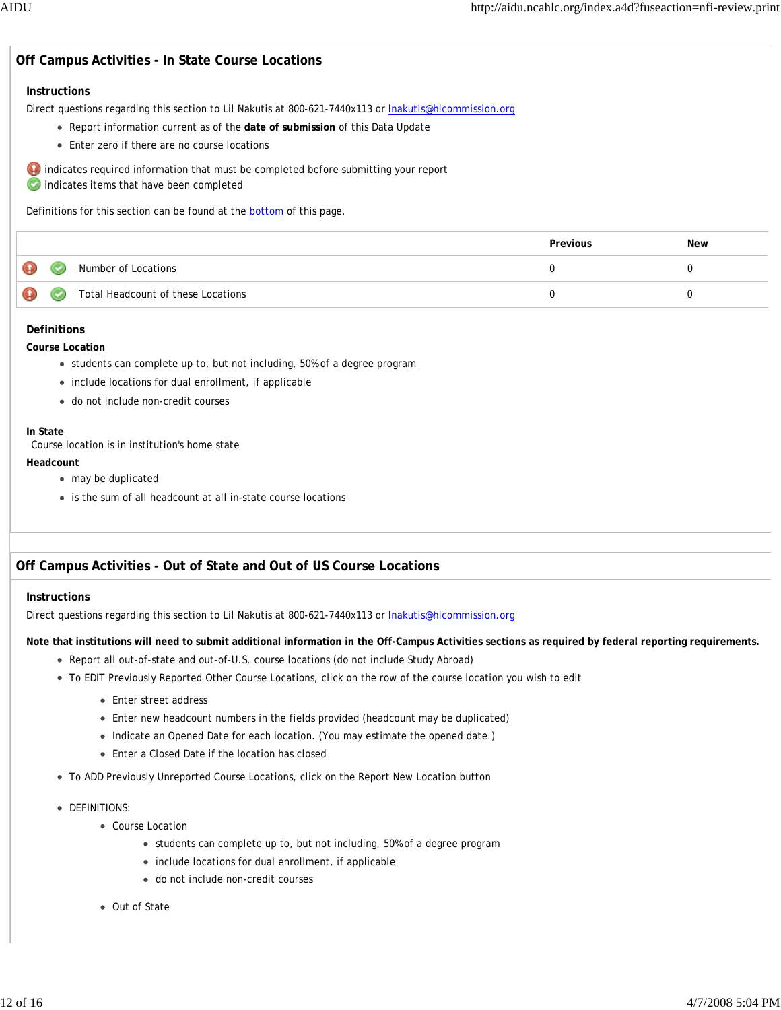# **Off Campus Activities - In State Course Locations**

#### **Instructions**

Direct questions regarding this section to Lil Nakutis at 800-621-7440x113 or lnakutis@hlcommission.org

- Report information current as of the **date of submission** of this Data Update
- Enter zero if there are no course locations

 indicates required information that must be completed before submitting your report **Completed** indicates items that have been completed

Definitions for this section can be found at the **bottom** of this page.

|   |    |                                    | Previous | New |
|---|----|------------------------------------|----------|-----|
| ⊕ | ۳  | Number of Locations                |          |     |
| ⊕ | رب | Total Headcount of these Locations |          |     |

#### **Definitions**

#### **Course Location**

- students can complete up to, but not including, 50% of a degree program
- include locations for dual enrollment, if applicable
- do not include non-credit courses

#### **In State**

Course location is in institution's home state

#### **Headcount**

- may be duplicated
- is the sum of all headcount at all in-state course locations

# **Off Campus Activities - Out of State and Out of US Course Locations**

#### **Instructions**

Direct questions regarding this section to Lil Nakutis at 800-621-7440x113 or **Inakutis@hlcommission.org** 

**Note that institutions will need to submit additional information in the Off-Campus Activities sections as required by federal reporting requirements.**

- Report all out-of-state and out-of-U.S. course locations (do not include Study Abroad)
- To EDIT Previously Reported Other Course Locations, click on the row of the course location you wish to edit
	- Enter street address
	- Enter new headcount numbers in the fields provided (headcount may be duplicated)
	- Indicate an Opened Date for each location. (You may estimate the opened date.)
	- Enter a Closed Date if the location has closed
- To ADD Previously Unreported Course Locations, click on the Report New Location button
- **DEFINITIONS:** 
	- Course Location
		- students can complete up to, but not including, 50% of a degree program
		- include locations for dual enrollment, if applicable
		- do not include non-credit courses
	- Out of State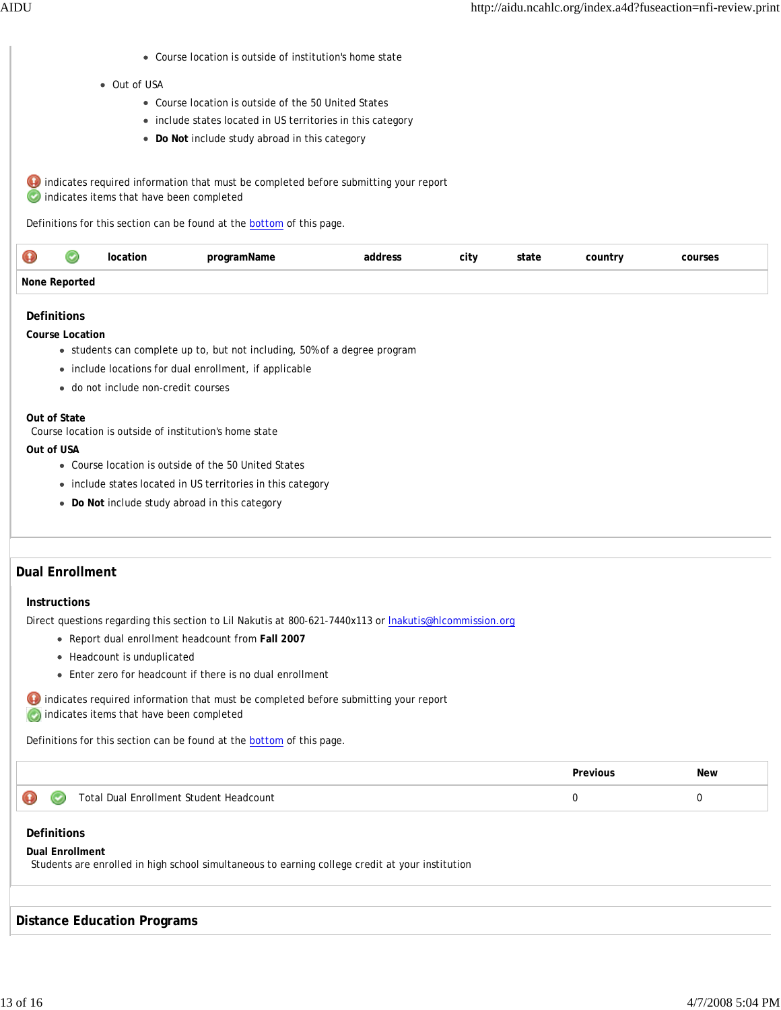Course location is outside of institution's home state

#### • Out of USA

- Course location is outside of the 50 United States
- include states located in US territories in this category
- **Do Not** include study abroad in this category

 $\bigoplus$  indicates required information that must be completed before submitting your report indicates items that have been completed

Definitions for this section can be found at the **bottom** of this page.

| æ<br><b>VET</b>    |  | ation | programName | address<br>uuur: | city | state | country | courses |
|--------------------|--|-------|-------------|------------------|------|-------|---------|---------|
| None Reported<br>. |  |       |             |                  |      |       |         |         |

#### **Definitions**

**Course Location**

- students can complete up to, but not including, 50% of a degree program
- include locations for dual enrollment, if applicable
- do not include non-credit courses

#### **Out of State**

Course location is outside of institution's home state

#### **Out of USA**

- Course location is outside of the 50 United States
- include states located in US territories in this category
- **Do Not** include study abroad in this category

# **Dual Enrollment**

#### **Instructions**

Direct questions regarding this section to Lil Nakutis at 800-621-7440x113 or lnakutis@hlcommission.org

- Report dual enrollment headcount from **Fall 2007**
- Headcount is unduplicated
- Enter zero for headcount if there is no dual enrollment

 $\bullet$  indicates required information that must be completed before submitting your report **indicates items that have been completed** 

Definitions for this section can be found at the **bottom** of this page.

|             |                                         | Previous | <b>New</b> |
|-------------|-----------------------------------------|----------|------------|
| $\bullet$ 0 | Total Dual Enrollment Student Headcount |          |            |

#### **Definitions**

#### **Dual Enrollment**

Students are enrolled in high school simultaneous to earning college credit at your institution

#### **Distance Education Programs**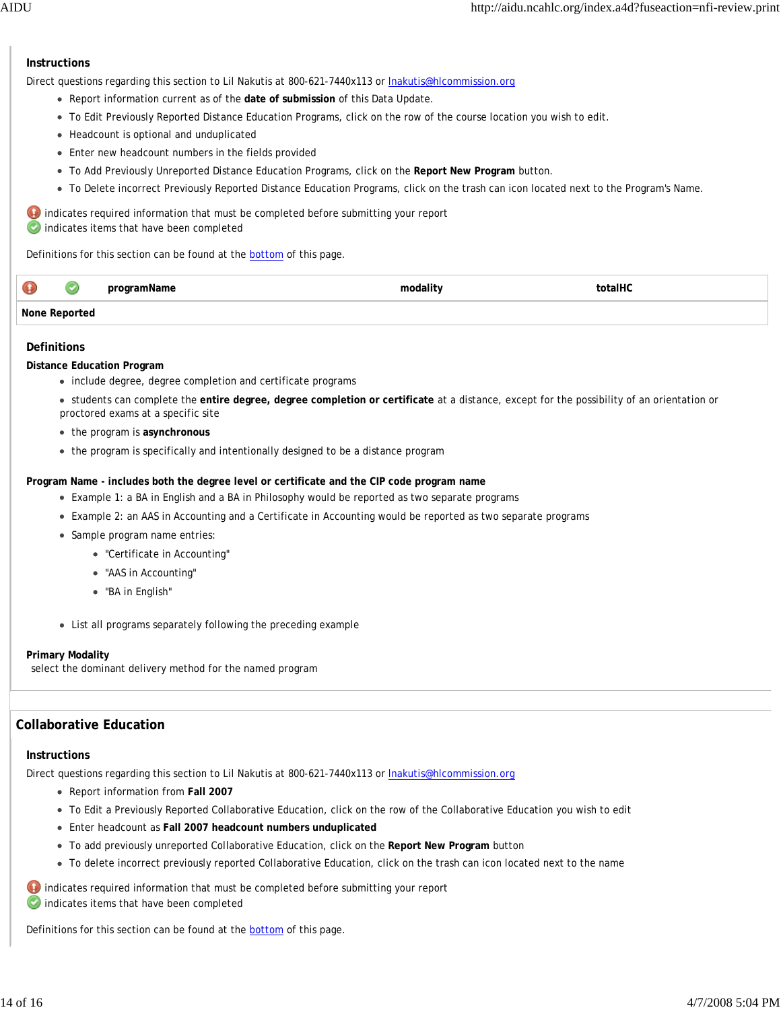### **Instructions**

Direct questions regarding this section to Lil Nakutis at 800-621-7440x113 or *Inakutis@hlcommission.org* 

- Report information current as of the **date of submission** of this Data Update.
- To Edit Previously Reported Distance Education Programs, click on the row of the course location you wish to edit.
- Headcount is optional and unduplicated
- Enter new headcount numbers in the fields provided
- To Add Previously Unreported Distance Education Programs, click on the **Report New Program** button.
- To Delete incorrect Previously Reported Distance Education Programs, click on the trash can icon located next to the Program's Name.

 $\bullet$  indicates required information that must be completed before submitting your report indicates items that have been completed

Definitions for this section can be found at the bottom of this page.

| $\mathbf \Theta$ |  | programName | .<br>modalit <sup>.</sup> | $\cdots$<br>*otalЬ. |
|------------------|--|-------------|---------------------------|---------------------|
| None             |  |             |                           |                     |

#### **Definitions**

#### **Distance Education Program**

- include degree, degree completion and certificate programs
- students can complete the **entire degree, degree completion or certificate** at a distance, except for the possibility of an orientation or proctored exams at a specific site
- the program is **asynchronous**
- the program is specifically and intentionally designed to be a distance program

**Program Name - includes both the degree level or certificate and the CIP code program name**

- Example 1: a BA in English and a BA in Philosophy would be reported as two separate programs
- Example 2: an AAS in Accounting and a Certificate in Accounting would be reported as two separate programs
- Sample program name entries:
	- "Certificate in Accounting"
	- "AAS in Accounting"
	- "BA in English"
- List all programs separately following the preceding example

#### **Primary Modality**

select the dominant delivery method for the named program

## **Collaborative Education**

#### **Instructions**

Direct questions regarding this section to Lil Nakutis at 800-621-7440x113 or lnakutis@hlcommission.org

- Report information from **Fall 2007**
- To Edit a Previously Reported Collaborative Education, click on the row of the Collaborative Education you wish to edit
- Enter headcount as **Fall 2007 headcount numbers unduplicated**
- To add previously unreported Collaborative Education, click on the **Report New Program** button
- To delete incorrect previously reported Collaborative Education, click on the trash can icon located next to the name

**indicates required information that must be completed before submitting your report** indicates items that have been completed

Definitions for this section can be found at the **bottom** of this page.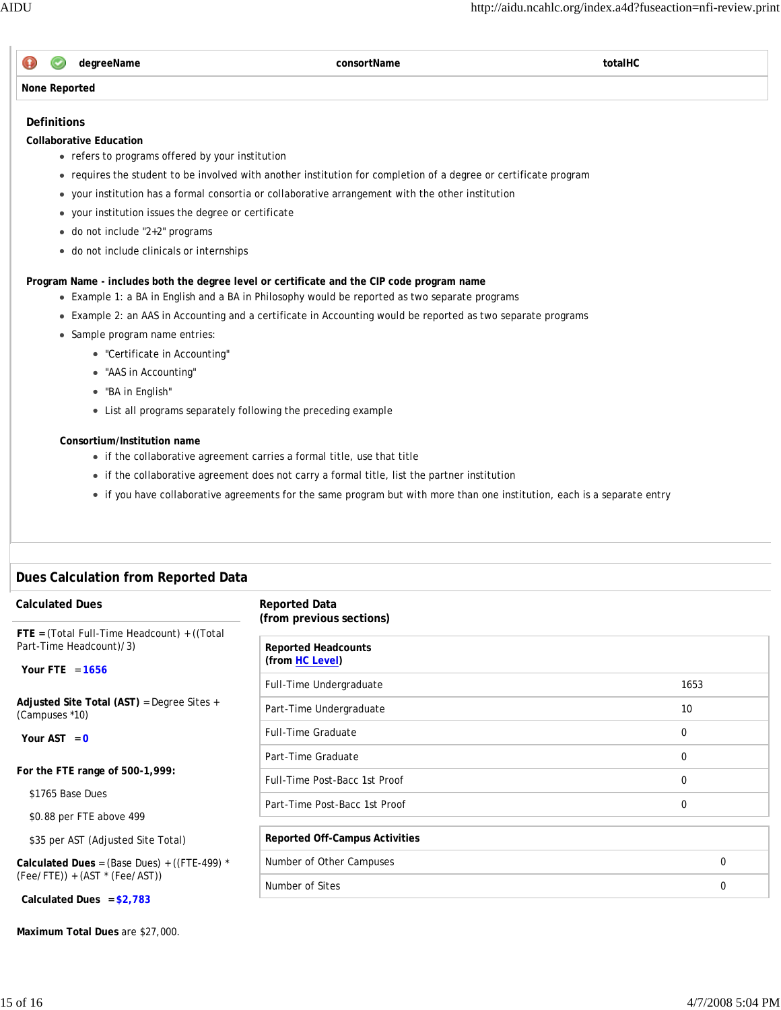

# **Definitions**

**Collaborative Education**

- refers to programs offered by your institution
- requires the student to be involved with another institution for completion of a degree or certificate program
- your institution has a formal consortia or collaborative arrangement with the other institution
- your institution issues the degree or certificate
- do not include "2+2" programs
- do not include clinicals or internships

**Program Name - includes both the degree level or certificate and the CIP code program name**

- Example 1: a BA in English and a BA in Philosophy would be reported as two separate programs
- Example 2: an AAS in Accounting and a certificate in Accounting would be reported as two separate programs
- Sample program name entries:
	- "Certificate in Accounting"
	- "AAS in Accounting"
	- "BA in English"
	- List all programs separately following the preceding example

# **Consortium/Institution name**

- if the collaborative agreement carries a formal title, use that title
- if the collaborative agreement does not carry a formal title, list the partner institution
- if you have collaborative agreements for the same program but with more than one institution, each is a separate entry

# **Dues Calculation from Reported Data**

| <b>Calculated Dues</b>                                                 | <b>Reported Data</b><br>(from previous sections) |             |
|------------------------------------------------------------------------|--------------------------------------------------|-------------|
| FTE = (Total Full-Time Headcount) + ((Total<br>Part-Time Headcount)/3) | <b>Reported Headcounts</b>                       |             |
| Your FTE = $1656$                                                      | (from HC Level)                                  |             |
|                                                                        | Full-Time Undergraduate                          | 1653        |
| Adjusted Site Total (AST) = Degree Sites +<br>(Campuses *10)           | Part-Time Undergraduate                          | 10          |
| Your AST = $0$                                                         | <b>Full-Time Graduate</b>                        | 0           |
|                                                                        | Part-Time Graduate                               | 0           |
| For the FTE range of 500-1,999:                                        | Full-Time Post-Bacc 1st Proof                    | $\mathbf 0$ |
| \$1765 Base Dues                                                       | Part-Time Post-Bacc 1st Proof                    | $\mathbf 0$ |
| \$0.88 per FTE above 499                                               |                                                  |             |
| \$35 per AST (Adjusted Site Total)                                     | <b>Reported Off-Campus Activities</b>            |             |
| Calculated Dues = $(Base Dues) + ((FTE-499) *$                         | Number of Other Campuses                         | $\mathbf 0$ |
| $(Fee/FTE)) + (AST * (Fee/AST))$                                       | Number of Sites                                  | 0           |
| Calculated Dues = $$2,783$                                             |                                                  |             |

**Maximum Total Dues** are \$27,000.